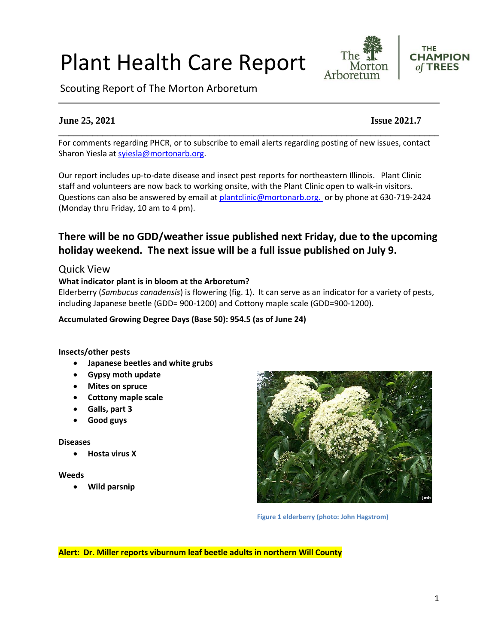# Plant Health Care Report

Scouting Report of The Morton Arboretum

# **Issue 2021.7** Issue 2021.7

For comments regarding PHCR, or to subscribe to email alerts regarding posting of new issues, contact Sharon Yiesla at [syiesla@mortonarb.org.](mailto:syiesla@mortonarb.org)

**\_\_\_\_\_\_\_\_\_\_\_\_\_\_\_\_\_\_\_\_\_\_\_\_\_\_\_\_\_\_\_\_\_\_\_\_\_\_\_\_\_\_\_\_\_\_\_\_\_\_\_\_\_\_\_\_\_\_\_\_\_\_\_\_\_\_\_\_\_\_\_\_\_\_\_\_\_\_**

Our report includes up-to-date disease and insect pest reports for northeastern Illinois. Plant Clinic staff and volunteers are now back to working onsite, with the Plant Clinic open to walk-in visitors. Questions can also be answered by email at [plantclinic@mortonarb.org.](mailto:plantclinic@mortonarb.org) or by phone at 630-719-2424 (Monday thru Friday, 10 am to 4 pm).

# **There will be no GDD/weather issue published next Friday, due to the upcoming holiday weekend. The next issue will be a full issue published on July 9.**

# Quick View

#### **What indicator plant is in bloom at the Arboretum?**

Elderberry (*Sambucus canadensis*) is flowering (fig. 1). It can serve as an indicator for a variety of pests, including Japanese beetle (GDD= 900-1200) and Cottony maple scale (GDD=900-1200).

**Accumulated Growing Degree Days (Base 50): 954.5 (as of June 24)**

**Insects/other pests**

- **Japanese beetles and white grubs**
- **Gypsy moth update**
- **Mites on spruce**
- **Cottony maple scale**
- **Galls, part 3**
- **Good guys**

#### **Diseases**

• **Hosta virus X**

#### **Weeds**

• **Wild parsnip**



**Figure 1 elderberry (photo: John Hagstrom)**

**Alert: Dr. Miller reports viburnum leaf beetle adults in northern Will County**



The

Morton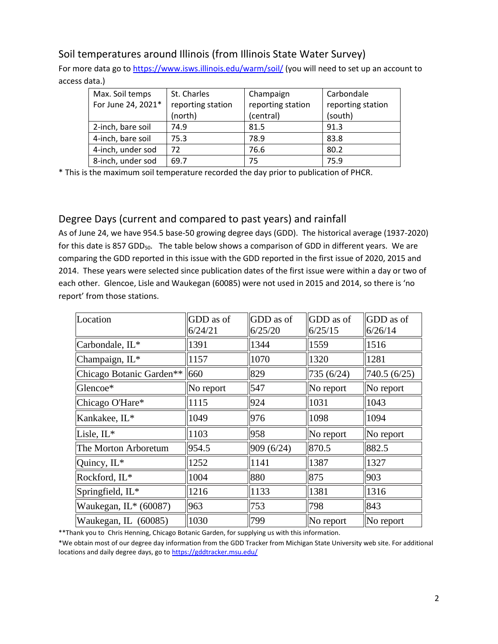# Soil temperatures around Illinois (from Illinois State Water Survey)

For more data go t[o https://www.isws.illinois.edu/warm/soil/](https://www.isws.illinois.edu/warm/soil/) (you will need to set up an account to access data.)

| Max. Soil temps    | St. Charles       | Champaign         | Carbondale        |
|--------------------|-------------------|-------------------|-------------------|
| For June 24, 2021* | reporting station | reporting station | reporting station |
|                    | (north)           | (central)         | (south)           |
| 2-inch, bare soil  | 74.9              | 81.5              | 91.3              |
| 4-inch, bare soil  | 75.3              | 78.9              | 83.8              |
| 4-inch, under sod  | 72                | 76.6              | 80.2              |
| 8-inch, under sod  | 69.7              | 75                | 75.9              |

\* This is the maximum soil temperature recorded the day prior to publication of PHCR.

# Degree Days (current and compared to past years) and rainfall

As of June 24, we have 954.5 base-50 growing degree days (GDD). The historical average (1937-2020) for this date is 857 GDD<sub>50</sub>. The table below shows a comparison of GDD in different years. We are comparing the GDD reported in this issue with the GDD reported in the first issue of 2020, 2015 and 2014. These years were selected since publication dates of the first issue were within a day or two of each other. Glencoe, Lisle and Waukegan (60085) were not used in 2015 and 2014, so there is 'no report' from those stations.

| Location                       | GDD as of<br>6/24/21 | GDD as of<br>6/25/20 | GDD as of<br>6/25/15 | GDD as of<br>6/26/14 |
|--------------------------------|----------------------|----------------------|----------------------|----------------------|
| Carbondale, IL*                | 1391                 | 1344                 | 1559                 | 1516                 |
| Champaign, IL*                 | 1157                 | 1070                 | 1320                 | 1281                 |
| Chicago Botanic Garden**   660 |                      | 829                  | 735(6/24)            | 740.5 (6/25)         |
| Glencoe*                       | No report            | 547                  | No report            | No report            |
| Chicago O'Hare*                | 1115                 | 924                  | 1031                 | 1043                 |
| Kankakee, IL*                  | 1049                 | 976                  | 1098                 | 1094                 |
| Lisle, IL*                     | 1103                 | 958                  | No report            | No report            |
| The Morton Arboretum           | 954.5                | 909 (6/24)           | 870.5                | 882.5                |
| Quincy, IL*                    | 1252                 | 1141                 | 1387                 | 1327                 |
| Rockford, IL*                  | 1004                 | 880                  | 875                  | 903                  |
| Springfield, IL*               | 1216                 | 1133                 | 1381                 | 1316                 |
| Waukegan, IL* (60087)          | 963                  | 753                  | 798                  | 843                  |
| Waukegan, IL (60085)           | 1030                 | 799                  | No report            | No report            |

\*\*Thank you to Chris Henning, Chicago Botanic Garden, for supplying us with this information.

\*We obtain most of our degree day information from the GDD Tracker from Michigan State University web site. For additional locations and daily degree days, go to <https://gddtracker.msu.edu/>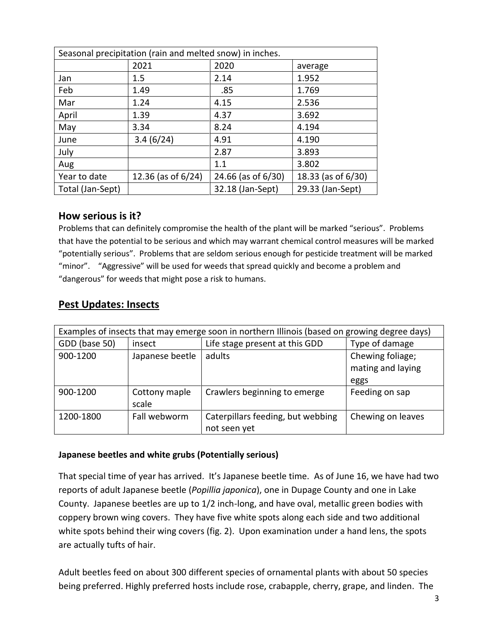| Seasonal precipitation (rain and melted snow) in inches. |                       |                    |                    |
|----------------------------------------------------------|-----------------------|--------------------|--------------------|
|                                                          | 2021                  | 2020               | average            |
| Jan                                                      | 1.5                   | 2.14               | 1.952              |
| Feb                                                      | 1.49                  | .85                | 1.769              |
| Mar                                                      | 1.24                  | 4.15               | 2.536              |
| April                                                    | 1.39                  | 4.37               | 3.692              |
| May                                                      | 3.34                  | 8.24               | 4.194              |
| June                                                     | 3.4(6/24)             | 4.91               | 4.190              |
| July                                                     |                       | 2.87               | 3.893              |
| Aug                                                      |                       | 1.1                | 3.802              |
| Year to date                                             | 12.36 (as of $6/24$ ) | 24.66 (as of 6/30) | 18.33 (as of 6/30) |
| Total (Jan-Sept)                                         |                       | 32.18 (Jan-Sept)   | 29.33 (Jan-Sept)   |

# **How serious is it?**

Problems that can definitely compromise the health of the plant will be marked "serious".Problems that have the potential to be serious and which may warrant chemical control measures will be marked "potentially serious". Problems that are seldom serious enough for pesticide treatment will be marked "minor". "Aggressive" will be used for weeds that spread quickly and become a problem and "dangerous" for weeds that might pose a risk to humans.

# **Pest Updates: Insects**

| Examples of insects that may emerge soon in northern Illinois (based on growing degree days) |                 |                                   |                   |
|----------------------------------------------------------------------------------------------|-----------------|-----------------------------------|-------------------|
| GDD (base 50)                                                                                | insect          | Life stage present at this GDD    | Type of damage    |
| 900-1200                                                                                     | Japanese beetle | adults                            | Chewing foliage;  |
|                                                                                              |                 |                                   | mating and laying |
|                                                                                              |                 |                                   | eggs              |
| 900-1200                                                                                     | Cottony maple   | Crawlers beginning to emerge      | Feeding on sap    |
|                                                                                              | scale           |                                   |                   |
| 1200-1800                                                                                    | Fall webworm    | Caterpillars feeding, but webbing | Chewing on leaves |
|                                                                                              |                 | not seen yet                      |                   |

### **Japanese beetles and white grubs (Potentially serious)**

That special time of year has arrived. It's Japanese beetle time. As of June 16, we have had two reports of adult Japanese beetle (*Popillia japonica*), one in Dupage County and one in Lake County. Japanese beetles are up to 1/2 inch-long, and have oval, metallic green bodies with coppery brown wing covers. They have five white spots along each side and two additional white spots behind their wing covers (fig. 2). Upon examination under a hand lens, the spots are actually tufts of hair.

Adult beetles feed on about 300 different species of ornamental plants with about 50 species being preferred. Highly preferred hosts include rose, crabapple, cherry, grape, and linden. The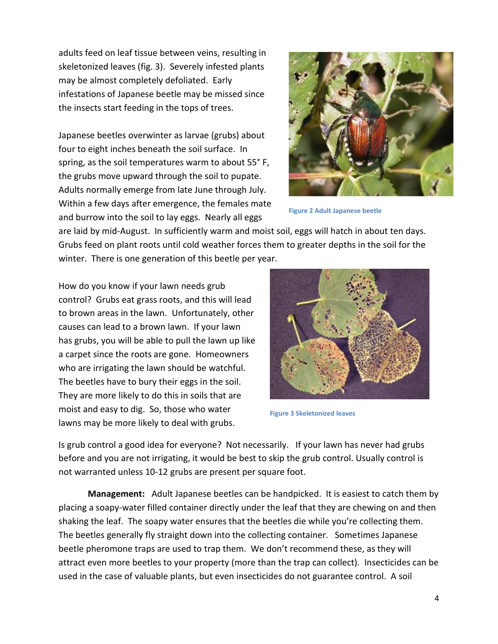adults feed on leaf tissue between veins, resulting in skeletonized leaves (fig. 3). Severely infested plants may be almost completely defoliated. Early infestations of Japanese beetle may be missed since the insects start feeding in the tops of trees.

Japanese beetles overwinter as larvae (grubs) about four to eight inches beneath the soil surface. In spring, as the soil temperatures warm to about 55° F, the grubs move upward through the soil to pupate. Adults normally emerge from late June through July. Within a few days after emergence, the females mate and burrow into the soil to lay eggs. Nearly all eggs



**Figure 2 Adult Japanese beetle**

are laid by mid-August. In sufficiently warm and moist soil, eggs will hatch in about ten days. Grubs feed on plant roots until cold weather forces them to greater depths in the soil for the winter. There is one generation of this beetle per year.

How do you know if your lawn needs grub control? Grubs eat grass roots, and this will lead to brown areas in the lawn. Unfortunately, other causes can lead to a brown lawn. If your lawn has grubs, you will be able to pull the lawn up like a carpet since the roots are gone. Homeowners who are irrigating the lawn should be watchful. The beetles have to bury their eggs in the soil. They are more likely to do this in soils that are moist and easy to dig. So, those who water lawns may be more likely to deal with grubs.



**Figure 3 Skeletonized leaves**

Is grub control a good idea for everyone? Not necessarily. If your lawn has never had grubs before and you are not irrigating, it would be best to skip the grub control. Usually control is not warranted unless 10-12 grubs are present per square foot.

**Management:** Adult Japanese beetles can be handpicked. It is easiest to catch them by placing a soapy-water filled container directly under the leaf that they are chewing on and then shaking the leaf. The soapy water ensures that the beetles die while you're collecting them. The beetles generally fly straight down into the collecting container. Sometimes Japanese beetle pheromone traps are used to trap them. We don't recommend these, as they will attract even more beetles to your property (more than the trap can collect). Insecticides can be used in the case of valuable plants, but even insecticides do not guarantee control. A soil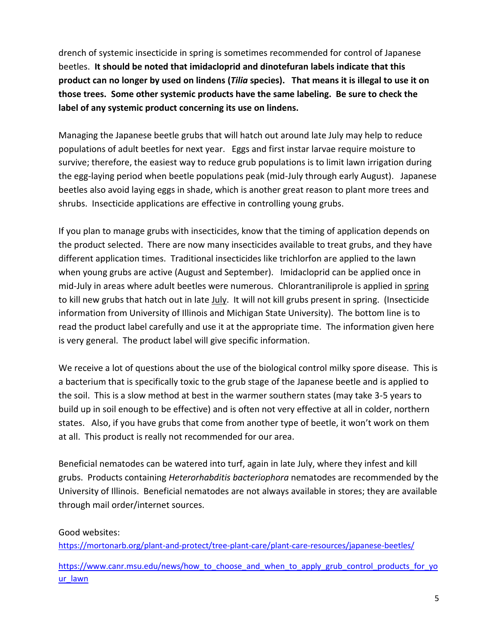drench of systemic insecticide in spring is sometimes recommended for control of Japanese beetles. **It should be noted that imidacloprid and dinotefuran labels indicate that this product can no longer by used on lindens (***Tilia* **species). That means it is illegal to use it on those trees. Some other systemic products have the same labeling. Be sure to check the label of any systemic product concerning its use on lindens.**

Managing the Japanese beetle grubs that will hatch out around late July may help to reduce populations of adult beetles for next year. Eggs and first instar larvae require moisture to survive; therefore, the easiest way to reduce grub populations is to limit lawn irrigation during the egg-laying period when beetle populations peak (mid-July through early August). Japanese beetles also avoid laying eggs in shade, which is another great reason to plant more trees and shrubs. Insecticide applications are effective in controlling young grubs.

If you plan to manage grubs with insecticides, know that the timing of application depends on the product selected. There are now many insecticides available to treat grubs, and they have different application times. Traditional insecticides like trichlorfon are applied to the lawn when young grubs are active (August and September). Imidacloprid can be applied once in mid-July in areas where adult beetles were numerous. Chlorantraniliprole is applied in spring to kill new grubs that hatch out in late July. It will not kill grubs present in spring. (Insecticide information from University of Illinois and Michigan State University). The bottom line is to read the product label carefully and use it at the appropriate time. The information given here is very general. The product label will give specific information.

We receive a lot of questions about the use of the biological control milky spore disease. This is a bacterium that is specifically toxic to the grub stage of the Japanese beetle and is applied to the soil. This is a slow method at best in the warmer southern states (may take 3-5 years to build up in soil enough to be effective) and is often not very effective at all in colder, northern states. Also, if you have grubs that come from another type of beetle, it won't work on them at all. This product is really not recommended for our area.

Beneficial nematodes can be watered into turf, again in late July, where they infest and kill grubs. Products containing *Heterorhabditis bacteriophora* nematodes are recommended by the University of Illinois. Beneficial nematodes are not always available in stores; they are available through mail order/internet sources.

#### Good websites:

<https://mortonarb.org/plant-and-protect/tree-plant-care/plant-care-resources/japanese-beetles/>

[https://www.canr.msu.edu/news/how\\_to\\_choose\\_and\\_when\\_to\\_apply\\_grub\\_control\\_products\\_for\\_yo](https://www.canr.msu.edu/news/how_to_choose_and_when_to_apply_grub_control_products_for_your_lawn) [ur\\_lawn](https://www.canr.msu.edu/news/how_to_choose_and_when_to_apply_grub_control_products_for_your_lawn)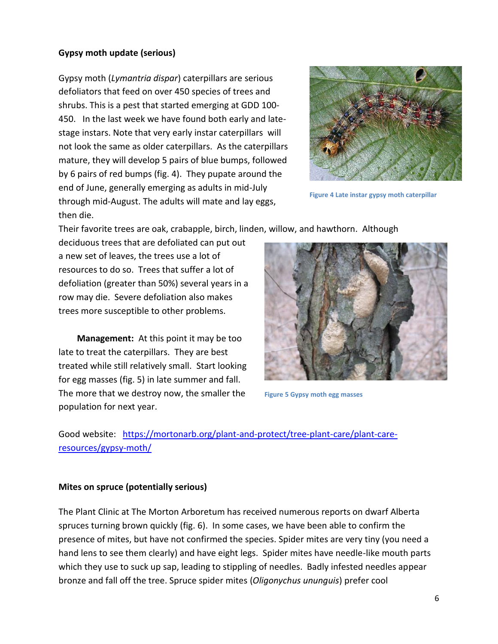#### **Gypsy moth update (serious)**

Gypsy moth (*Lymantria dispar*) caterpillars are serious defoliators that feed on over 450 species of trees and shrubs. This is a pest that started emerging at GDD 100- 450. In the last week we have found both early and latestage instars. Note that very early instar caterpillars will not look the same as older caterpillars. As the caterpillars mature, they will develop 5 pairs of blue bumps, followed by 6 pairs of red bumps (fig. 4). They pupate around the end of June, generally emerging as adults in mid-July through mid-August. The adults will mate and lay eggs, then die.



**Figure 4 Late instar gypsy moth caterpillar**

Their favorite trees are oak, crabapple, birch, linden, willow, and hawthorn. Although

deciduous trees that are defoliated can put out a new set of leaves, the trees use a lot of resources to do so. Trees that suffer a lot of defoliation (greater than 50%) several years in a row may die. Severe defoliation also makes trees more susceptible to other problems.

**Management:** At this point it may be too late to treat the caterpillars. They are best treated while still relatively small. Start looking for egg masses (fig. 5) in late summer and fall. The more that we destroy now, the smaller the population for next year.



**Figure 5 Gypsy moth egg masses**

Good website: [https://mortonarb.org/plant-and-protect/tree-plant-care/plant-care](https://mortonarb.org/plant-and-protect/tree-plant-care/plant-care-resources/gypsy-moth/)[resources/gypsy-moth/](https://mortonarb.org/plant-and-protect/tree-plant-care/plant-care-resources/gypsy-moth/)

#### **Mites on spruce (potentially serious)**

The Plant Clinic at The Morton Arboretum has received numerous reports on dwarf Alberta spruces turning brown quickly (fig. 6). In some cases, we have been able to confirm the presence of mites, but have not confirmed the species. Spider mites are very tiny (you need a hand lens to see them clearly) and have eight legs. Spider mites have needle-like mouth parts which they use to suck up sap, leading to stippling of needles. Badly infested needles appear bronze and fall off the tree. Spruce spider mites (*Oligonychus ununguis*) prefer cool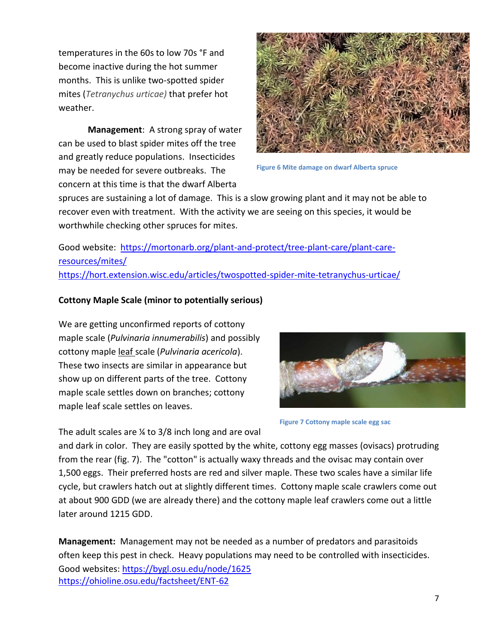temperatures in the 60s to low 70s °F and become inactive during the hot summer months. This is unlike two-spotted spider mites (*Tetranychus urticae)* that prefer hot weather.

**Management**: A strong spray of water can be used to blast spider mites off the tree and greatly reduce populations. Insecticides may be needed for severe outbreaks. The concern at this time is that the dwarf Alberta



**Figure 6 Mite damage on dwarf Alberta spruce**

spruces are sustaining a lot of damage. This is a slow growing plant and it may not be able to recover even with treatment. With the activity we are seeing on this species, it would be worthwhile checking other spruces for mites.

Good website: [https://mortonarb.org/plant-and-protect/tree-plant-care/plant-care](https://mortonarb.org/plant-and-protect/tree-plant-care/plant-care-resources/mites/)[resources/mites/](https://mortonarb.org/plant-and-protect/tree-plant-care/plant-care-resources/mites/) <https://hort.extension.wisc.edu/articles/twospotted-spider-mite-tetranychus-urticae/>

#### **Cottony Maple Scale (minor to potentially serious)**

We are getting unconfirmed reports of cottony maple scale (*Pulvinaria innumerabilis*) and possibly cottony maple leaf scale (*Pulvinaria acericola*). These two insects are similar in appearance but show up on different parts of the tree. Cottony maple scale settles down on branches; cottony maple leaf scale settles on leaves.





**Figure 7 Cottony maple scale egg sac**

and dark in color. They are easily spotted by the white, cottony egg masses (ovisacs) protruding from the rear (fig. 7). The "cotton" is actually waxy threads and the ovisac may contain over 1,500 eggs. Their preferred hosts are red and silver maple. These two scales have a similar life cycle, but crawlers hatch out at slightly different times. Cottony maple scale crawlers come out at about 900 GDD (we are already there) and the cottony maple leaf crawlers come out a little later around 1215 GDD.

**Management:** Management may not be needed as a number of predators and parasitoids often keep this pest in check. Heavy populations may need to be controlled with insecticides. Good websites:<https://bygl.osu.edu/node/1625> <https://ohioline.osu.edu/factsheet/ENT-62>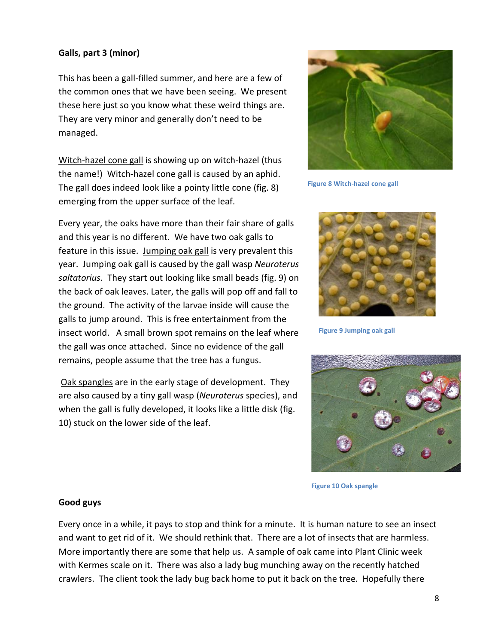#### **Galls, part 3 (minor)**

This has been a gall-filled summer, and here are a few of the common ones that we have been seeing. We present these here just so you know what these weird things are. They are very minor and generally don't need to be managed.

Witch-hazel cone gall is showing up on witch-hazel (thus the name!) Witch-hazel cone gall is caused by an aphid. The gall does indeed look like a pointy little cone (fig. 8) emerging from the upper surface of the leaf.

Every year, the oaks have more than their fair share of galls and this year is no different. We have two oak galls to feature in this issue. Jumping oak gall is very prevalent this year. Jumping oak gall is caused by the gall wasp *Neuroterus saltatorius*. They start out looking like small beads (fig. 9) on the back of oak leaves. Later, the galls will pop off and fall to the ground. The activity of the larvae inside will cause the galls to jump around. This is free entertainment from the insect world. A small brown spot remains on the leaf where the gall was once attached. Since no evidence of the gall remains, people assume that the tree has a fungus.

Oak spangles are in the early stage of development. They are also caused by a tiny gall wasp (*Neuroterus* species), and when the gall is fully developed, it looks like a little disk (fig. 10) stuck on the lower side of the leaf.



**Figure 8 Witch-hazel cone gall**



**Figure 9 Jumping oak gall**



**Figure 10 Oak spangle**

#### **Good guys**

Every once in a while, it pays to stop and think for a minute. It is human nature to see an insect and want to get rid of it. We should rethink that. There are a lot of insects that are harmless. More importantly there are some that help us. A sample of oak came into Plant Clinic week with Kermes scale on it. There was also a lady bug munching away on the recently hatched crawlers. The client took the lady bug back home to put it back on the tree. Hopefully there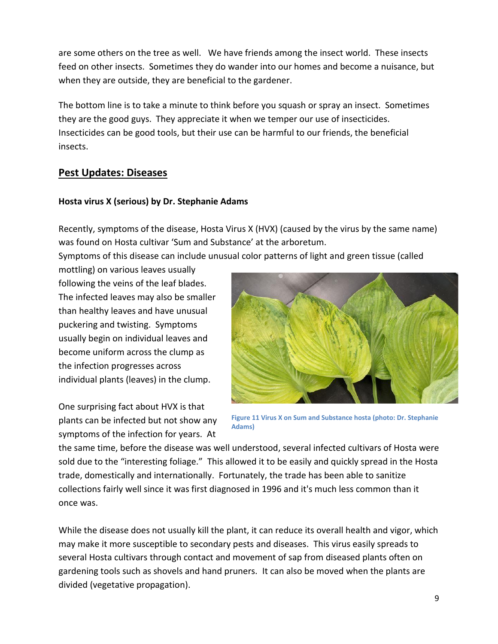are some others on the tree as well. We have friends among the insect world. These insects feed on other insects. Sometimes they do wander into our homes and become a nuisance, but when they are outside, they are beneficial to the gardener.

The bottom line is to take a minute to think before you squash or spray an insect. Sometimes they are the good guys. They appreciate it when we temper our use of insecticides. Insecticides can be good tools, but their use can be harmful to our friends, the beneficial insects.

# **Pest Updates: Diseases**

### **Hosta virus X (serious) by Dr. Stephanie Adams**

Recently, symptoms of the disease, Hosta Virus X (HVX) (caused by the virus by the same name) was found on Hosta cultivar 'Sum and Substance' at the arboretum.

Symptoms of this disease can include unusual color patterns of light and green tissue (called

mottling) on various leaves usually following the veins of the leaf blades. The infected leaves may also be smaller than healthy leaves and have unusual puckering and twisting. Symptoms usually begin on individual leaves and become uniform across the clump as the infection progresses across individual plants (leaves) in the clump.

One surprising fact about HVX is that plants can be infected but not show any symptoms of the infection for years. At



**Figure 11 Virus X on Sum and Substance hosta (photo: Dr. Stephanie Adams)**

the same time, before the disease was well understood, several infected cultivars of Hosta were sold due to the "interesting foliage." This allowed it to be easily and quickly spread in the Hosta trade, domestically and internationally. Fortunately, the trade has been able to sanitize collections fairly well since it was first diagnosed in 1996 and it's much less common than it once was.

While the disease does not usually kill the plant, it can reduce its overall health and vigor, which may make it more susceptible to secondary pests and diseases. This virus easily spreads to several Hosta cultivars through contact and movement of sap from diseased plants often on gardening tools such as shovels and hand pruners. It can also be moved when the plants are divided (vegetative propagation).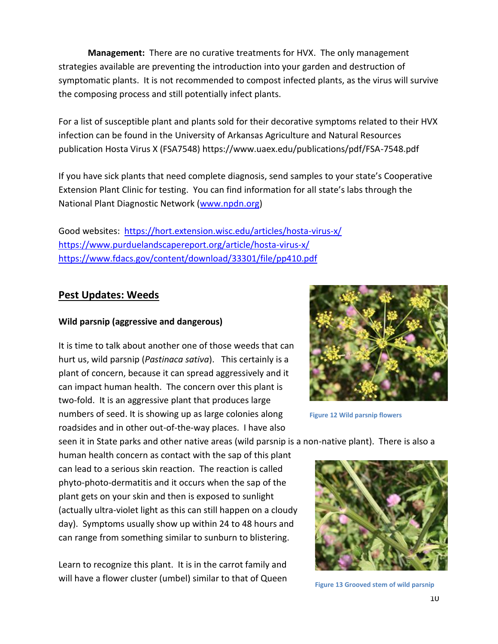**Management:** There are no curative treatments for HVX. The only management strategies available are preventing the introduction into your garden and destruction of symptomatic plants. It is not recommended to compost infected plants, as the virus will survive the composing process and still potentially infect plants.

For a list of susceptible plant and plants sold for their decorative symptoms related to their HVX infection can be found in the University of Arkansas Agriculture and Natural Resources publication Hosta Virus X (FSA7548) https://www.uaex.edu/publications/pdf/FSA-7548.pdf

If you have sick plants that need complete diagnosis, send samples to your state's Cooperative Extension Plant Clinic for testing. You can find information for all state's labs through the National Plant Diagnostic Network [\(www.npdn.org\)](http://www.npdn.org/)

Good websites: <https://hort.extension.wisc.edu/articles/hosta-virus-x/> <https://www.purduelandscapereport.org/article/hosta-virus-x/> <https://www.fdacs.gov/content/download/33301/file/pp410.pdf>

# **Pest Updates: Weeds**

### **Wild parsnip (aggressive and dangerous)**

It is time to talk about another one of those weeds that can hurt us, wild parsnip (*Pastinaca sativa*). This certainly is a plant of concern, because it can spread aggressively and it can impact human health. The concern over this plant is two-fold. It is an aggressive plant that produces large numbers of seed. It is showing up as large colonies along roadsides and in other out-of-the-way places. I have also



**Figure 12 Wild parsnip flowers**

seen it in State parks and other native areas (wild parsnip is a non-native plant). There is also a

human health concern as contact with the sap of this plant can lead to a serious skin reaction. The reaction is called phyto-photo-dermatitis and it occurs when the sap of the plant gets on your skin and then is exposed to sunlight (actually ultra-violet light as this can still happen on a cloudy day). Symptoms usually show up within 24 to 48 hours and can range from something similar to sunburn to blistering.

Learn to recognize this plant. It is in the carrot family and will have a flower cluster (umbel) similar to that of Queen



**Figure 13 Grooved stem of wild parsnip**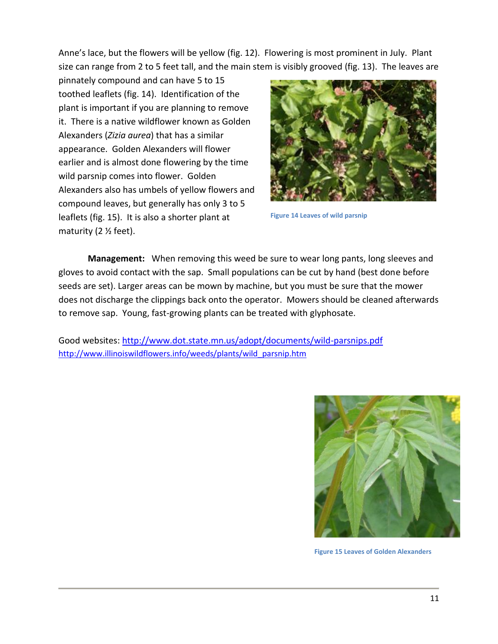Anne's lace, but the flowers will be yellow (fig. 12). Flowering is most prominent in July. Plant size can range from 2 to 5 feet tall, and the main stem is visibly grooved (fig. 13). The leaves are

pinnately compound and can have 5 to 15 toothed leaflets (fig. 14). Identification of the plant is important if you are planning to remove it. There is a native wildflower known as Golden Alexanders (*Zizia aurea*) that has a similar appearance. Golden Alexanders will flower earlier and is almost done flowering by the time wild parsnip comes into flower. Golden Alexanders also has umbels of yellow flowers and compound leaves, but generally has only 3 to 5 leaflets (fig. 15). It is also a shorter plant at maturity (2 ½ feet).



**Figure 14 Leaves of wild parsnip**

**Management:** When removing this weed be sure to wear long pants, long sleeves and gloves to avoid contact with the sap. Small populations can be cut by hand (best done before seeds are set). Larger areas can be mown by machine, but you must be sure that the mower does not discharge the clippings back onto the operator. Mowers should be cleaned afterwards to remove sap. Young, fast-growing plants can be treated with glyphosate.

Good websites:<http://www.dot.state.mn.us/adopt/documents/wild-parsnips.pdf> [http://www.illinoiswildflowers.info/weeds/plants/wild\\_parsnip.htm](http://www.illinoiswildflowers.info/weeds/plants/wild_parsnip.htm)



**Figure 15 Leaves of Golden Alexanders**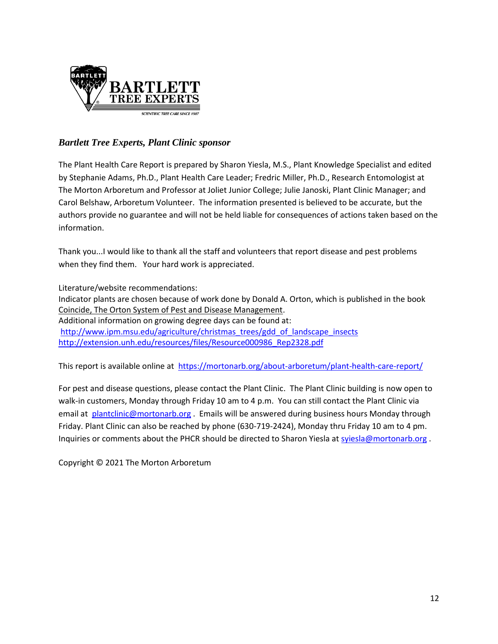

# *Bartlett Tree Experts, Plant Clinic sponsor*

The Plant Health Care Report is prepared by Sharon Yiesla, M.S., Plant Knowledge Specialist and edited by Stephanie Adams, Ph.D., Plant Health Care Leader; Fredric Miller, Ph.D., Research Entomologist at The Morton Arboretum and Professor at Joliet Junior College; Julie Janoski, Plant Clinic Manager; and Carol Belshaw, Arboretum Volunteer. The information presented is believed to be accurate, but the authors provide no guarantee and will not be held liable for consequences of actions taken based on the information.

Thank you...I would like to thank all the staff and volunteers that report disease and pest problems when they find them. Your hard work is appreciated.

Literature/website recommendations: Indicator plants are chosen because of work done by Donald A. Orton, which is published in the book Coincide, The Orton System of Pest and Disease Management. Additional information on growing degree days can be found at: [http://www.ipm.msu.edu/agriculture/christmas\\_trees/gdd\\_of\\_landscape\\_insects](http://www.ipm.msu.edu/agriculture/christmas_trees/gdd_of_landscape_insects) [http://extension.unh.edu/resources/files/Resource000986\\_Rep2328.pdf](http://extension.unh.edu/resources/files/Resource000986_Rep2328.pdf)

This report is available online at <https://mortonarb.org/about-arboretum/plant-health-care-report/>

For pest and disease questions, please contact the Plant Clinic. The Plant Clinic building is now open to walk-in customers, Monday through Friday 10 am to 4 p.m. You can still contact the Plant Clinic via email at [plantclinic@mortonarb.org](mailto:plantclinic@mortonarb.org) . Emails will be answered during business hours Monday through Friday. Plant Clinic can also be reached by phone (630-719-2424), Monday thru Friday 10 am to 4 pm. Inquiries or comments about the PHCR should be directed to Sharon Yiesla a[t syiesla@mortonarb.org](mailto:syiesla@mortonarb.org).

Copyright © 2021 The Morton Arboretum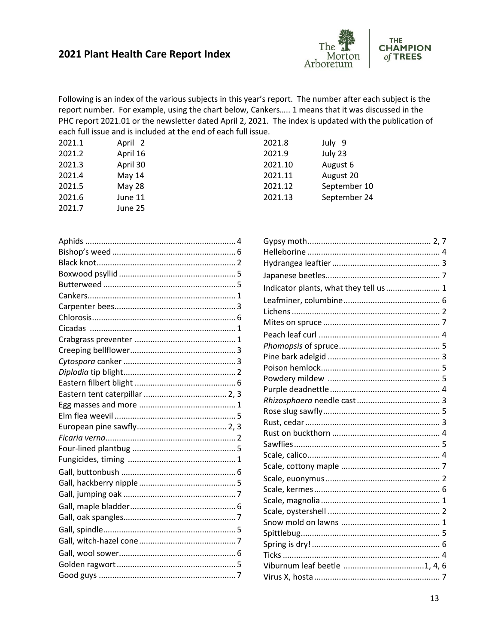# **2021 Plant Health Care Report Index**



Following is an index of the various subjects in this year's report. The number after each subject is the report number. For example, using the chart below, Cankers….. 1 means that it was discussed in the PHC report 2021.01 or the newsletter dated April 2, 2021. The index is updated with the publication of each full issue and is included at the end of each full issue.

| 2021.1 | April 2  | 2021.8  | July 9       |
|--------|----------|---------|--------------|
| 2021.2 | April 16 | 2021.9  | July 23      |
| 2021.3 | April 30 | 2021.10 | August 6     |
| 2021.4 | May 14   | 2021.11 | August 20    |
| 2021.5 | May 28   | 2021.12 | September 10 |
| 2021.6 | June 11  | 2021.13 | September 24 |
| 2021.7 | June 25  |         |              |

| Indicator plants, what they tell us 1 |  |
|---------------------------------------|--|
|                                       |  |
|                                       |  |
|                                       |  |
|                                       |  |
|                                       |  |
|                                       |  |
|                                       |  |
|                                       |  |
|                                       |  |
|                                       |  |
|                                       |  |
|                                       |  |
|                                       |  |
|                                       |  |
|                                       |  |
|                                       |  |
|                                       |  |
|                                       |  |
|                                       |  |
|                                       |  |
|                                       |  |
|                                       |  |
|                                       |  |
|                                       |  |
|                                       |  |
|                                       |  |